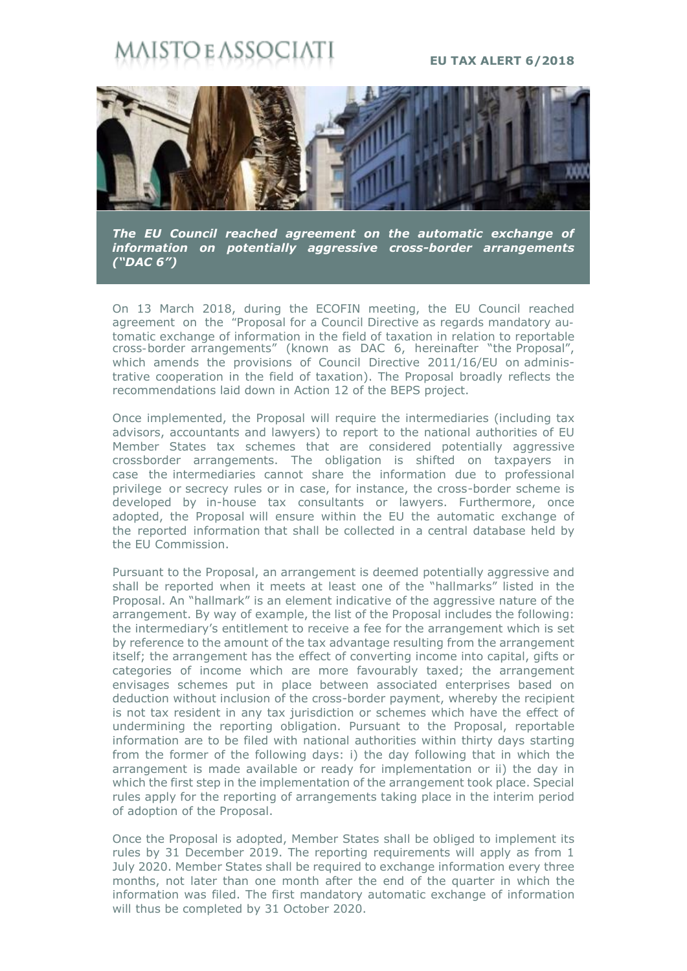## ISTO E ASSOCI

## **EU TAX ALERT 6/2018**



*The EU Council reached agreement on the automatic exchange of information on potentially aggressive cross-border arrangements ("DAC 6")*

On 13 March 2018, during the ECOFIN meeting, the EU Council reached agreement on the *"Proposal for a Council Directive as regards mandatory automatic exchange of information in the field of taxation in relation to reportable cross-border arrangements*" (known as DAC 6, hereinafter "the Proposal", which amends the provisions of Council Directive 2011/16/EU on administrative cooperation in the field of taxation). The Proposal broadly reflects the recommendations laid down in Action 12 of the BEPS project.

Once implemented, the Proposal will require the intermediaries (including tax advisors, accountants and lawyers) to report to the national authorities of EU Member States tax schemes that are considered potentially aggressive crossborder arrangements. The obligation is shifted on taxpayers in case the intermediaries cannot share the information due to professional privilege or secrecy rules or in case, for instance, the cross-border scheme is developed by in-house tax consultants or lawyers. Furthermore, once adopted, the Proposal will ensure within the EU the automatic exchange of the reported information that shall be collected in a central database held by the EU Commission.

Pursuant to the Proposal, an arrangement is deemed potentially aggressive and shall be reported when it meets at least one of the "hallmarks" listed in the Proposal. An "hallmark" is an element indicative of the aggressive nature of the arrangement. By way of example, the list of the Proposal includes the following: the intermediary's entitlement to receive a fee for the arrangement which is set by reference to the amount of the tax advantage resulting from the arrangement itself; the arrangement has the effect of converting income into capital, gifts or categories of income which are more favourably taxed; the arrangement envisages schemes put in place between associated enterprises based on deduction without inclusion of the cross-border payment, whereby the recipient is not tax resident in any tax jurisdiction or schemes which have the effect of undermining the reporting obligation. Pursuant to the Proposal, reportable information are to be filed with national authorities within thirty days starting from the former of the following days: i) the day following that in which the arrangement is made available or ready for implementation or ii) the day in which the first step in the implementation of the arrangement took place. Special rules apply for the reporting of arrangements taking place in the *interim* period of adoption of the Proposal.

Once the Proposal is adopted, Member States shall be obliged to implement its rules by 31 December 2019. The reporting requirements will apply as from 1 July 2020. Member States shall be required to exchange information every three months, not later than one month after the end of the quarter in which the information was filed. The first mandatory automatic exchange of information will thus be completed by 31 October 2020.